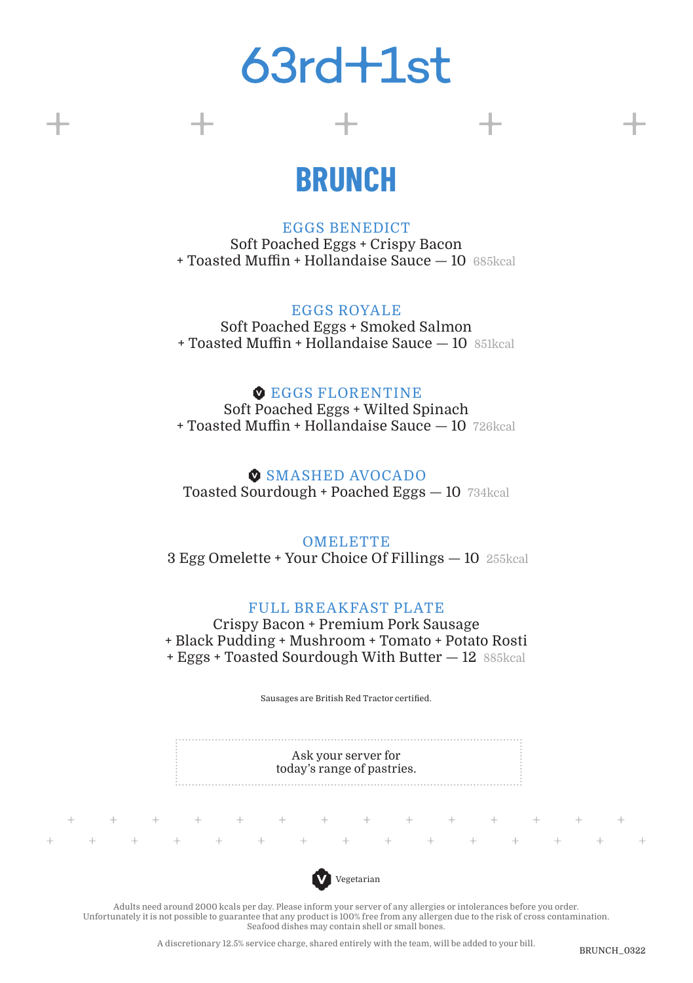## $63rd + 1st$

## **BRUNCH**

EGGS BENEDICT Soft Poached Eggs + Crispy Bacon + Toasted Muffin + Hollandaise Sauce — 10 685kcal

EGGS ROYALE Soft Poached Eggs + Smoked Salmon + Toasted Muffin + Hollandaise Sauce — 10 851kcal

#### **C** EGGS FLORENTINE

Soft Poached Eggs + Wilted Spinach + Toasted Muffin + Hollandaise Sauce — 10 726kcal

#### **SMASHED AVOCADO**

Toasted Sourdough + Poached Eggs — 10 734kcal

#### OMELETTE

3 Egg Omelette + Your Choice Of Fillings — 10 255kcal

#### FULL BREAKFAST PLATE

Crispy Bacon + Premium Pork Sausage + Black Pudding + Mushroom + Tomato + Potato Rosti + Eggs + Toasted Sourdough With Butter — 12 885kcal

Sausages are British Red Tractor certified.

Ask your server for today's range of pastries.

 $+$ 

 $\perp$ 

 $\cdots + \cdots +$ 



 $+$   $+$   $+$   $+$   $+$   $+$   $+$   $+$   $+$   $+$ 

Adults need around 2000 kcals per day. Please inform your server of any allergies or intolerances before you order. Unfortunately it is not possible to guarantee that any product is 100% free from any allergen due to the risk of cross contamination. Seafood dishes may contain shell or small bones.

A discretionary 12.5% service charge, shared entirely with the team, will be added to your bill.

 $+$